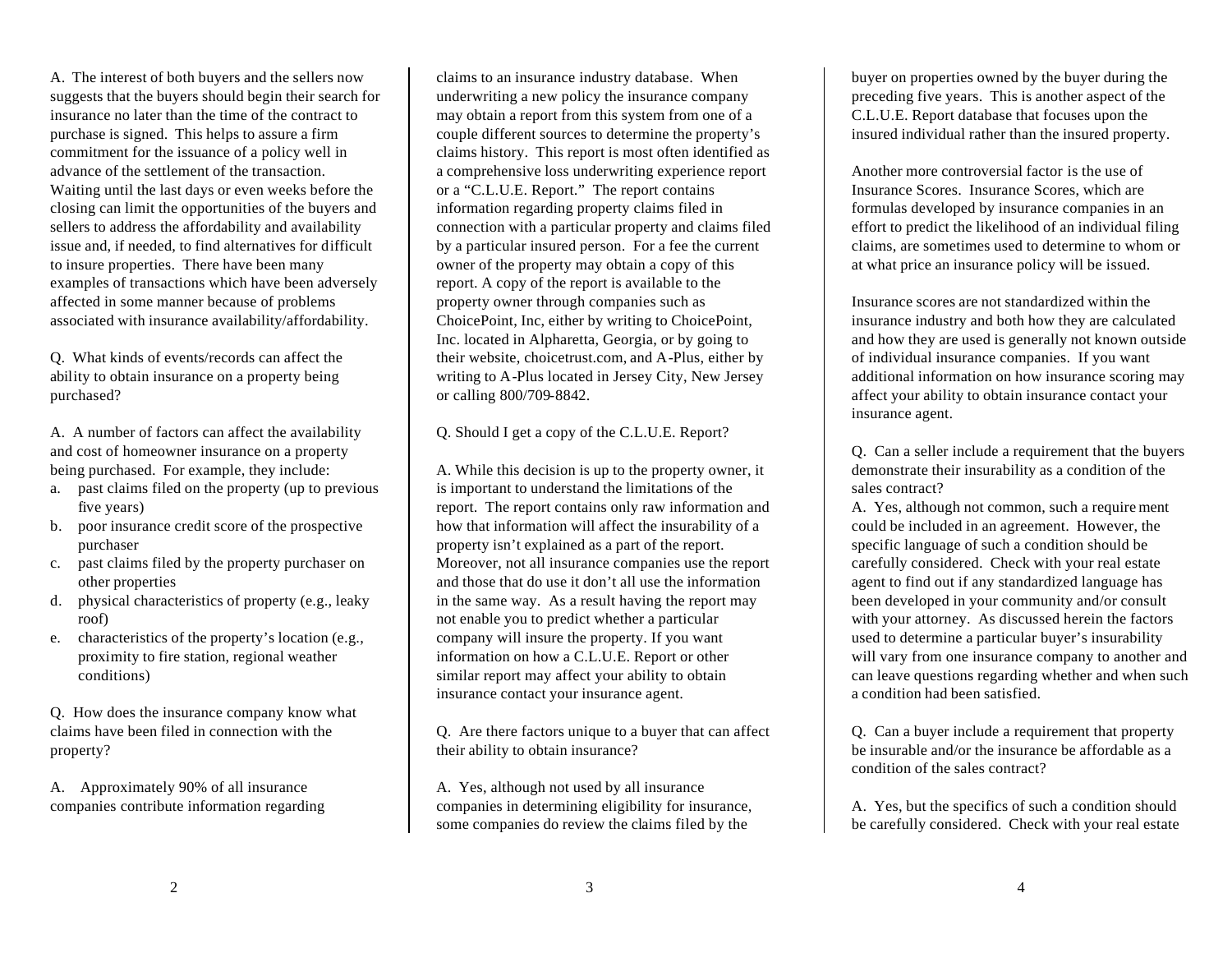A. The interest of both buyers and the sellers now suggests that the buyers should begin their search for insurance no later than the time of the contract to purchase is signed. This helps to assure a firm commitment for the issuance of a policy well in advance of the settlement of the transaction. Waiting until the last days or even weeks before the closing can limit the opportunities of the buyers and sellers to address the affordability and availability issue and, if needed, to find alternatives for difficult to insure properties. There have been many examples of transactions which have been adversely affected in some manner because of problems associated with insurance availability/affordability.

Q. What kinds of events/records can affect the ability to obtain insurance on a property being purchased?

A. A number of factors can affect the availability and cost of homeowner insurance on a property being purchased. For example, they include:

- a. past claims filed on the property (up to previous five years)
- b. poor insurance credit score of the prospective purchaser
- c. past claims filed by the property purchaser on other properties
- d. physical characteristics of property (e.g., leaky roof)
- e. characteristics of the property's location (e.g., proximity to fire station, regional weather conditions)

Q. How does the insurance company know what claims have been filed in connection with the property?

A. Approximately 90% of all insurance companies contribute information regarding claims to an insurance industry database. When underwriting a new policy the insurance company may obtain a report from this system from one of a couple different sources to determine the property's claims history. This report is most often identified as a comprehensive loss underwriting experience report or a "C.L.U.E. Report." The report contains information regarding property claims filed in connection with a particular property and claims filed by a particular insured person. For a fee the current owner of the property may obtain a copy of this report. A copy of the report is available to the property owner through companies such as ChoicePoint, Inc, either by writing to ChoicePoint, Inc. located in Alpharetta, Georgia, or by going to their website, choicetrust.com, and A-Plus, either by writing to A-Plus located in Jersey City, New Jersey or calling 800/709-8842.

Q. Should I get a copy of the C.L.U.E. Report?

A. While this decision is up to the property owner, it is important to understand the limitations of the report. The report contains only raw information and how that information will affect the insurability of a property isn't explained as a part of the report. Moreover, not all insurance companies use the report and those that do use it don't all use the information in the same way. As a result having the report may not enable you to predict whether a particular company will insure the property. If you want information on how a C.L.U.E. Report or other similar report may affect your ability to obtain insurance contact your insurance agent.

Q. Are there factors unique to a buyer that can affect their ability to obtain insurance?

A. Yes, although not used by all insurance companies in determining eligibility for insurance, some companies do review the claims filed by the

buyer on properties owned by the buyer during the preceding five years. This is another aspect of the C.L.U.E. Report database that focuses upon the insured individual rather than the insured property.

Another more controversial factor is the use of Insurance Scores. Insurance Scores, which are formulas developed by insurance companies in an effort to predict the likelihood of an individual filing claims, are sometimes used to determine to whom or at what price an insurance policy will be issued.

Insurance scores are not standardized within the insurance industry and both how they are calculated and how they are used is generally not known outside of individual insurance companies. If you want additional information on how insurance scoring may affect your ability to obtain insurance contact your insurance agent.

Q. Can a seller include a requirement that the buyers demonstrate their insurability as a condition of the sales contract?

A. Yes, although not common, such a require ment could be included in an agreement. However, the specific language of such a condition should be carefully considered. Check with your real estate agent to find out if any standardized language has been developed in your community and/or consult with your attorney. As discussed herein the factors used to determine a particular buyer's insurability will vary from one insurance company to another and can leave questions regarding whether and when such a condition had been satisfied.

Q. Can a buyer include a requirement that property be insurable and/or the insurance be affordable as a condition of the sales contract?

A. Yes, but the specifics of such a condition should be carefully considered. Check with your real estate